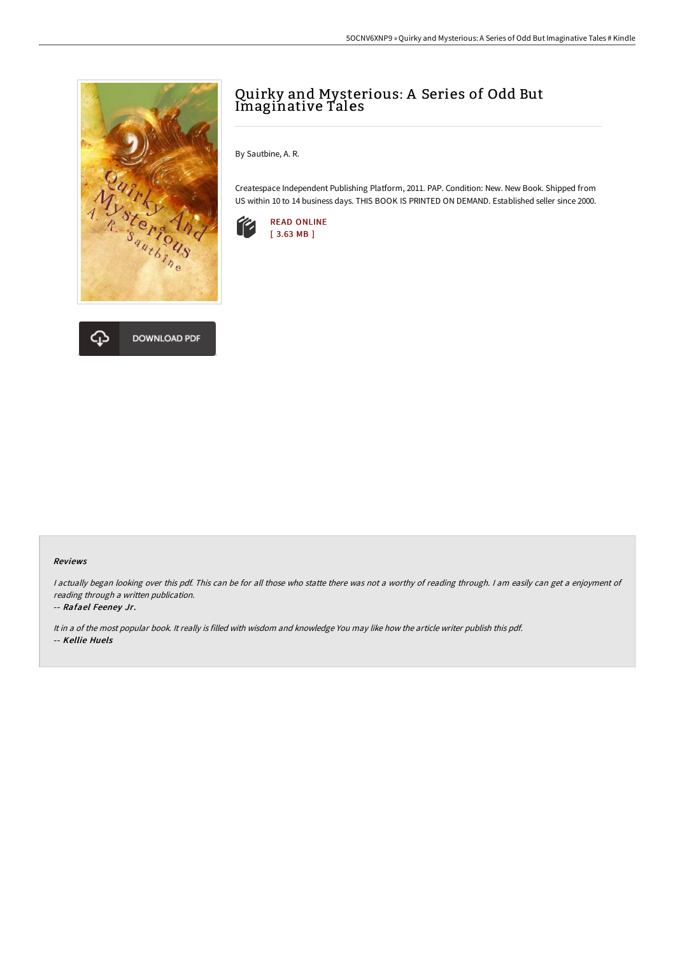



## Quirky and Mysterious: A Series of Odd But Imaginative Tales

By Sautbine, A. R.

Createspace Independent Publishing Platform, 2011. PAP. Condition: New. New Book. Shipped from US within 10 to 14 business days. THIS BOOK IS PRINTED ON DEMAND. Established seller since 2000.



## Reviews

I actually began looking over this pdf. This can be for all those who statte there was not a worthy of reading through. I am easily can get a enjoyment of reading through <sup>a</sup> written publication.

## -- Rafael Feeney Jr.

It in <sup>a</sup> of the most popular book. It really is filled with wisdom and knowledge You may like how the article writer publish this pdf. -- Kellie Huels